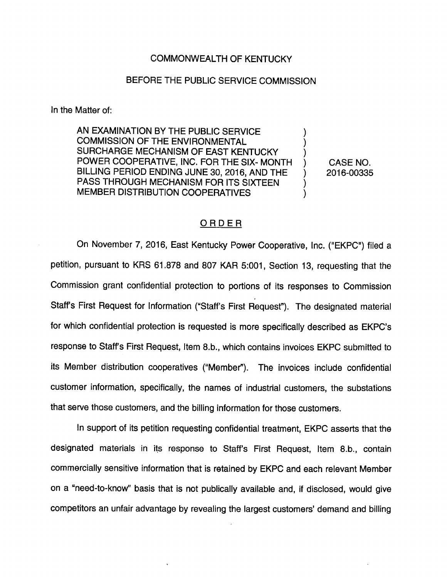## COMMONWEALTH OF KENTUCKY

## BEFORE THE PUBLIC SERVICE COMMISSION

In the Matter of:

AN EXAMINATION BY THE PUBLIC SERVICE COMMISSION OF THE ENVIRONMENTAL SURCHARGE MECHANISM OF EAST KENTUCKY POWER COOPERATIVE, INC. FOR THE SIX- MONTH BILLING PERIOD ENDING JUNE 30, 2016, AND THE PASS THROUGH MECHANISM FOR ITS SIXTEEN MEMBER DISTRIBUTION COOPERATIVES

CASE NO. 2016-00335

## **ORDER**

On November 7, 2016, East Kentucky Power Cooperative, Inc. ("EKPC") filed a petition, pursuant to KRS 61.878 and 807 KAR 5:001, Section 13, requesting that the Commission grant confidential protection to portions of its responses to Commission Staff's First Request for Information ("Staff's First Request"). The designated material for which confidential protection is requested is more specifically described as EKPC's response to Staffs First Request, Item 8.b., which contains invoices EKPC submitted to its Member distribution cooperatives ("Member"). The invoices include confidential customer information, specifically, the names of industrial customers, the substations that serve those customers, and the billing information for those customers.

In support of its petition requesting confidential treatment, EKPC asserts that the designated materials in its response to Staff's First Request, Item 8.b., contain commercially sensitive information that is retained by EKPC and each relevant Member on a "need-to-know" basis that is not publically available and, if disclosed, would give competitors an unfair advantage by revealing the largest customers' demand and billing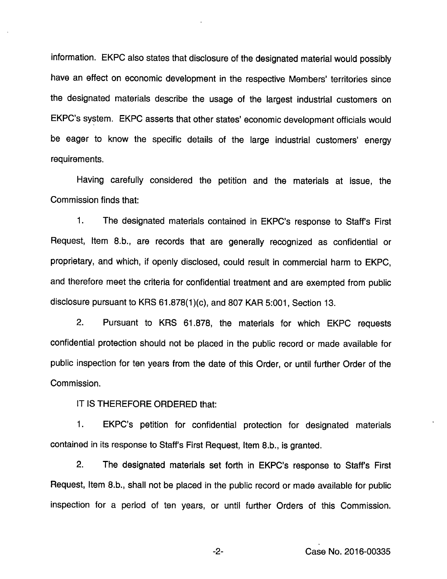information. EKPC also states that disclosure of the designated material would possibly have an effect on economic development in the respective Members' territories since the designated materials describe the usage of the largest industrial customers on EKPC's system. EKPC asserts that other states' economic development officials would be eager to know the specific details of the large industrial customers' energy requirements.

Having carefully considered the petition and the materials at issue, the Commission finds that:

1. The designated materials contained in EKPC's response to Staff's First Request, Item 8.b., are records that are generally recognized as confidential or proprietary, and which, if openly disclosed, could result in commercial harm to EKPC, and therefore meet the criteria for confidential treatment and are exempted from public disclosure pursuant to KRS 61.878(1 )(c), and 807 KAR 5:001, Section 13.

2. Pursuant to KRS 61.878, the materials for which EKPC requests confidential protection should not be placed in the public record or made available for public inspection for ten years from the date of this Order, or until further Order of the Commission.

IT IS THEREFORE ORDERED that:

1. EKPC's petition for confidential protection for designated materials contained in its response to Staff's First Request, Item 8.b., is granted.

2. The designated materials set forth in EKPC's response to Staff's First Request, Item 8.b., shall not be placed in the public record or made available for public inspection for a period of ten years, or until further Orders of this Commission.

Case No. 2016-00335

 $-2-$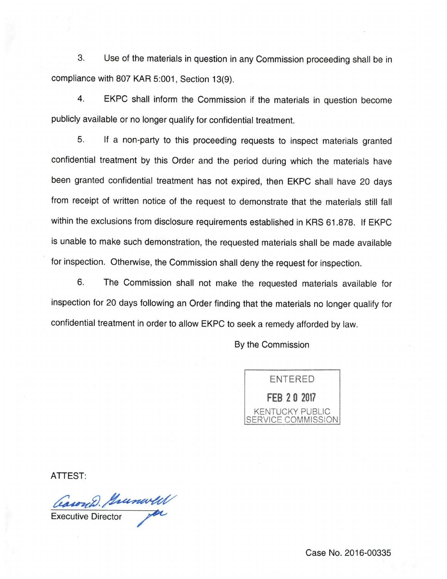3. Use of the materials in question in any Commission proceeding shall be in compliance with 807 KAR 5:001, Section 13(9).

4. EKPC shall inform the Commission if the materials in question become publicly available or no longer qualify for confidential treatment.

5. If a non-party to this proceeding requests to inspect materials granted confidential treatment by this Order and the period during which the materials have been granted confidential treatment has not expired, then EKPC shall have 20 days from receipt of written notice of the request to demonstrate that the materials still fall within the exclusions from disclosure requirements established in KRS 61.878. If EKPC is unable to make such demonstration, the requested materials shall be made available for inspection. Otherwise, the Commission shall deny the request for inspection.

6. The Commission shall not make the requested materials available for inspection for 20 days following an Order finding that the materials no longer qualify for confidential treatment in order to allow EKPC to seek a remedy afforded by law.

By the Commission



ATTEST:

Carond. Prunwell